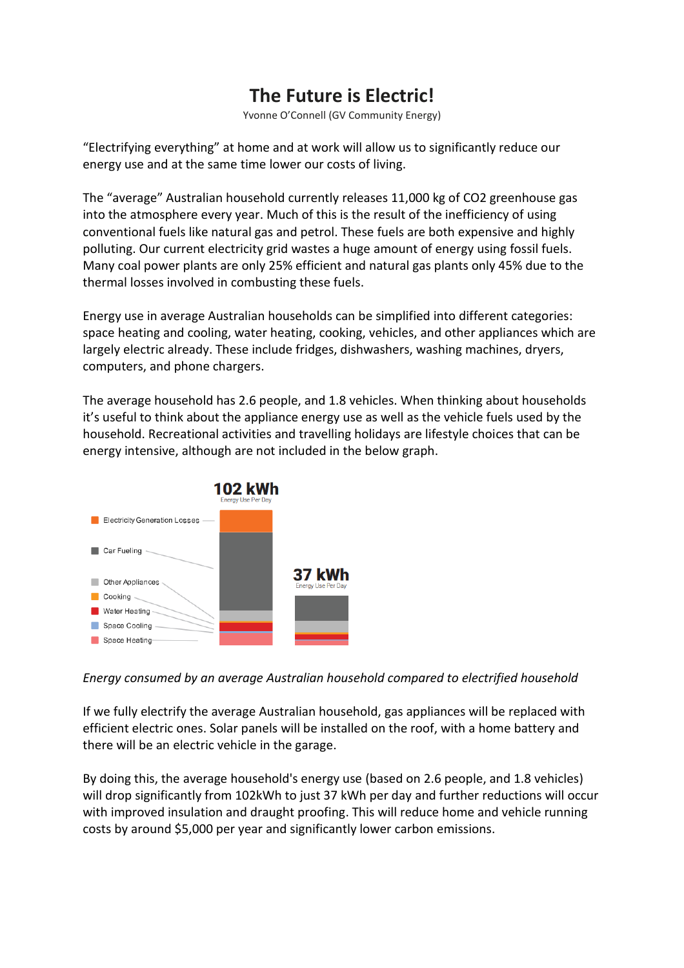## **The Future is Electric!**

Yvonne O'Connell (GV Community Energy)

"Electrifying everything" at home and at work will allow us to significantly reduce our energy use and at the same time lower our costs of living.

The "average" Australian household currently releases 11,000 kg of CO2 greenhouse gas into the atmosphere every year. Much of this is the result of the inefficiency of using conventional fuels like natural gas and petrol. These fuels are both expensive and highly polluting. Our current electricity grid wastes a huge amount of energy using fossil fuels. Many coal power plants are only 25% efficient and natural gas plants only 45% due to the thermal losses involved in combusting these fuels.

Energy use in average Australian households can be simplified into different categories: space heating and cooling, water heating, cooking, vehicles, and other appliances which are largely electric already. These include fridges, dishwashers, washing machines, dryers, computers, and phone chargers.

The average household has 2.6 people, and 1.8 vehicles. When thinking about households it's useful to think about the appliance energy use as well as the vehicle fuels used by the household. Recreational activities and travelling holidays are lifestyle choices that can be energy intensive, although are not included in the below graph.



*Energy consumed by an average Australian household compared to electrified household*

If we fully electrify the average Australian household, gas appliances will be replaced with efficient electric ones. Solar panels will be installed on the roof, with a home battery and there will be an electric vehicle in the garage.

By doing this, the average household's energy use (based on 2.6 people, and 1.8 vehicles) will drop significantly from 102kWh to just 37 kWh per day and further reductions will occur with improved insulation and draught proofing. This will reduce home and vehicle running costs by around \$5,000 per year and significantly lower carbon emissions.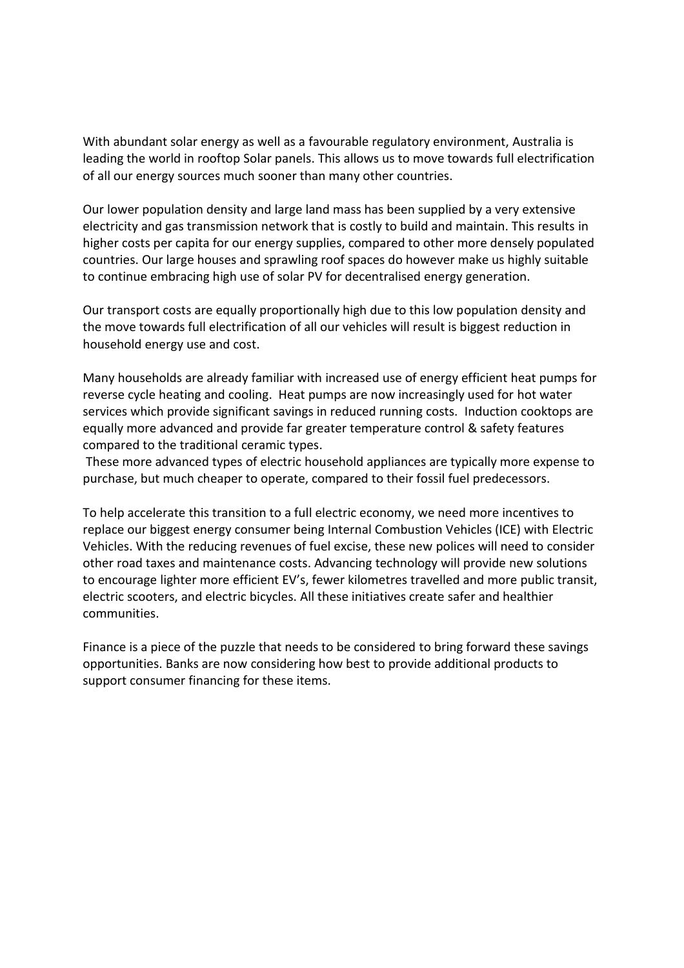With abundant solar energy as well as a favourable regulatory environment, Australia is leading the world in rooftop Solar panels. This allows us to move towards full electrification of all our energy sources much sooner than many other countries.

Our lower population density and large land mass has been supplied by a very extensive electricity and gas transmission network that is costly to build and maintain. This results in higher costs per capita for our energy supplies, compared to other more densely populated countries. Our large houses and sprawling roof spaces do however make us highly suitable to continue embracing high use of solar PV for decentralised energy generation.

Our transport costs are equally proportionally high due to this low population density and the move towards full electrification of all our vehicles will result is biggest reduction in household energy use and cost.

Many households are already familiar with increased use of energy efficient heat pumps for reverse cycle heating and cooling. Heat pumps are now increasingly used for hot water services which provide significant savings in reduced running costs. Induction cooktops are equally more advanced and provide far greater temperature control & safety features compared to the traditional ceramic types.

These more advanced types of electric household appliances are typically more expense to purchase, but much cheaper to operate, compared to their fossil fuel predecessors.

To help accelerate this transition to a full electric economy, we need more incentives to replace our biggest energy consumer being Internal Combustion Vehicles (ICE) with Electric Vehicles. With the reducing revenues of fuel excise, these new polices will need to consider other road taxes and maintenance costs. Advancing technology will provide new solutions to encourage lighter more efficient EV's, fewer kilometres travelled and more public transit, electric scooters, and electric bicycles. All these initiatives create safer and healthier communities.

Finance is a piece of the puzzle that needs to be considered to bring forward these savings opportunities. Banks are now considering how best to provide additional products to support consumer financing for these items.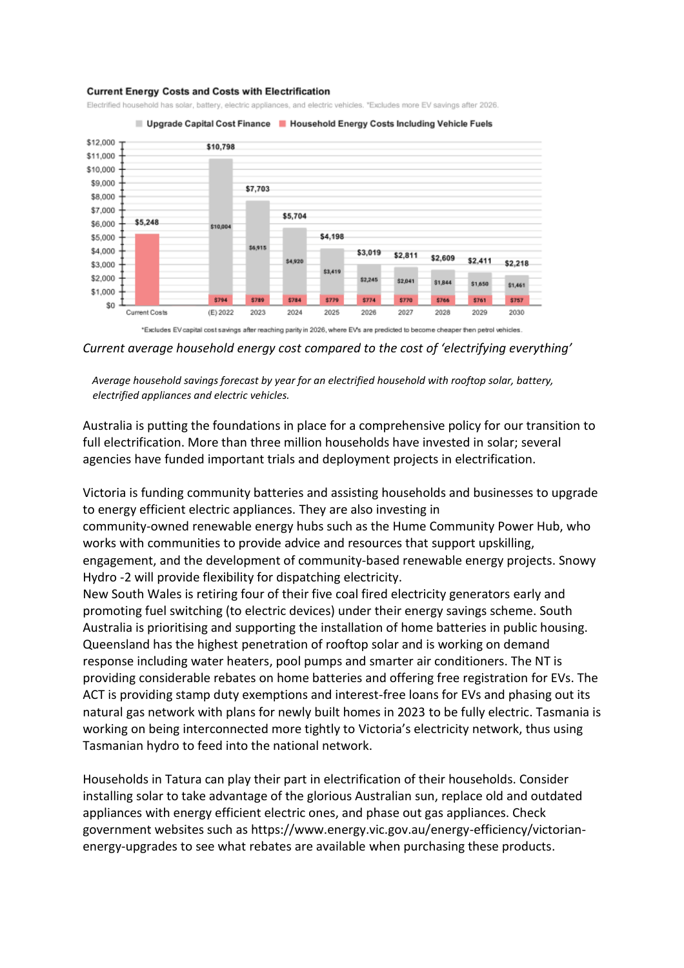## **Current Energy Costs and Costs with Electrification**

Electrified household has solar, battery, electric appliances, and electric vehicles. \*Excludes more EV savings after 2026.



Upgrade Capital Cost Finance | Household Energy Costs Including Vehicle Fuels

*Average household savings forecast by year for an electrified household with rooftop solar, battery, electrified appliances and electric vehicles.*

Australia is putting the foundations in place for a comprehensive policy for our transition to full electrification. More than three million households have invested in solar; several agencies have funded important trials and deployment projects in electrification.

Victoria is funding community batteries and assisting households and businesses to upgrade to energy efficient electric appliances. They are also investing in community-owned renewable energy hubs such as the Hume Community Power Hub, who works with communities to provide advice and resources that support upskilling, engagement, and the development of community-based renewable energy projects. Snowy Hydro -2 will provide flexibility for dispatching electricity.

New South Wales is retiring four of their five coal fired electricity generators early and promoting fuel switching (to electric devices) under their energy savings scheme. South Australia is prioritising and supporting the installation of home batteries in public housing. Queensland has the highest penetration of rooftop solar and is working on demand response including water heaters, pool pumps and smarter air conditioners. The NT is providing considerable rebates on home batteries and offering free registration for EVs. The ACT is providing stamp duty exemptions and interest-free loans for EVs and phasing out its natural gas network with plans for newly built homes in 2023 to be fully electric. Tasmania is working on being interconnected more tightly to Victoria's electricity network, thus using Tasmanian hydro to feed into the national network.

Households in Tatura can play their part in electrification of their households. Consider installing solar to take advantage of the glorious Australian sun, replace old and outdated appliances with energy efficient electric ones, and phase out gas appliances. Check government websites such as https://www.energy.vic.gov.au/energy-efficiency/victorianenergy-upgrades to see what rebates are available when purchasing these products.

*Current average household energy cost compared to the cost of 'electrifying everything'*